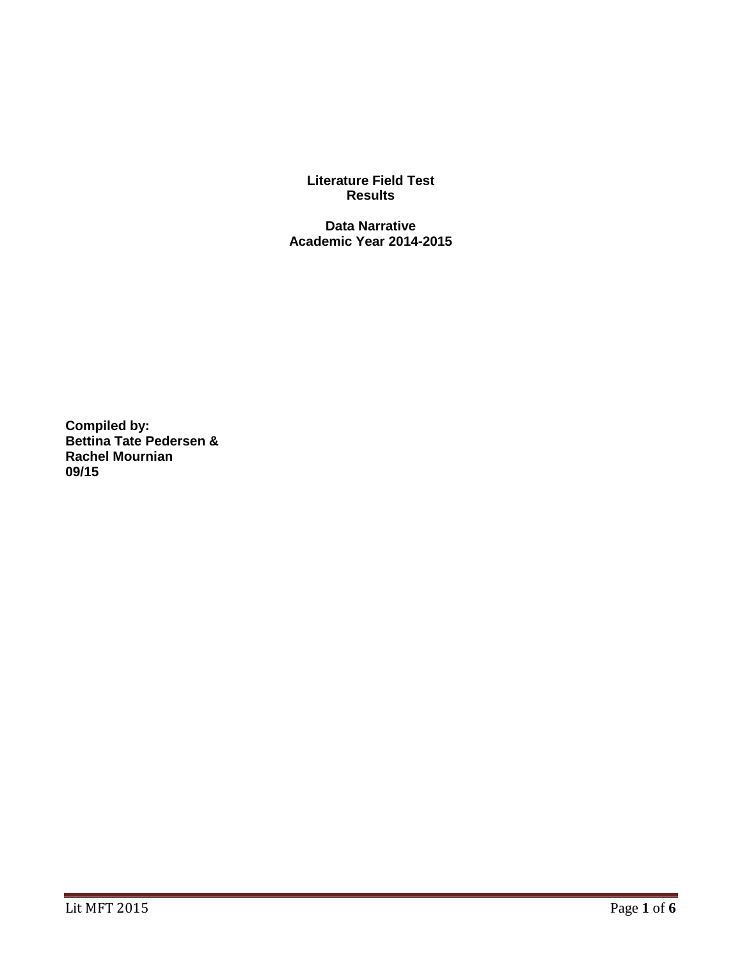**Literature Field Test Results**

**Data Narrative Academic Year 2014-2015**

**Compiled by: Bettina Tate Pedersen & Rachel Mournian 09/15**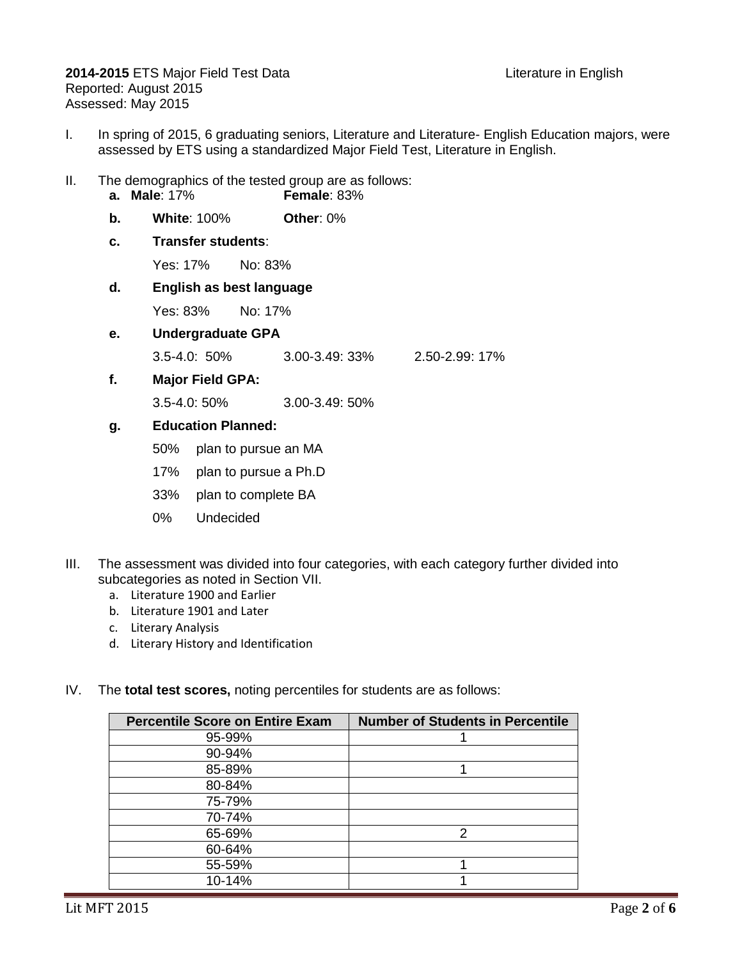**2014-2015** ETS Major Field Test Data **Literature in English** Reported: August 2015 Assessed: May 2015

- I. In spring of 2015, 6 graduating seniors, Literature and Literature- English Education majors, were assessed by ETS using a standardized Major Field Test, Literature in English.
- II. The demographics of the tested group are as follows: **a. Male**: 17% **Female**: 83%
	-
	- **b. White**: 100% **Other**: 0%
	- **c. Transfer students**:

Yes: 17% No: 83%

**d. English as best language**

Yes: 83% No: 17%

**e. Undergraduate GPA**

3.5-4.0: 50% 3.00-3.49: 33% 2.50-2.99: 17%

**f. Major Field GPA:**

3.5-4.0: 50% 3.00-3.49: 50%

## **g. Education Planned:**

- 50% plan to pursue an MA
- 17% plan to pursue a Ph.D
- 33% plan to complete BA
- 0% Undecided
- III. The assessment was divided into four categories, with each category further divided into subcategories as noted in Section VII.
	- a. Literature 1900 and Earlier
	- b. Literature 1901 and Later
	- c. Literary Analysis
	- d. Literary History and Identification
- IV. The **total test scores,** noting percentiles for students are as follows:

| <b>Percentile Score on Entire Exam</b> | <b>Number of Students in Percentile</b> |
|----------------------------------------|-----------------------------------------|
| 95-99%                                 |                                         |
| 90-94%                                 |                                         |
| 85-89%                                 |                                         |
| 80-84%                                 |                                         |
| 75-79%                                 |                                         |
| 70-74%                                 |                                         |
| 65-69%                                 | $\mathcal{P}$                           |
| 60-64%                                 |                                         |
| 55-59%                                 |                                         |
| 10-14%                                 |                                         |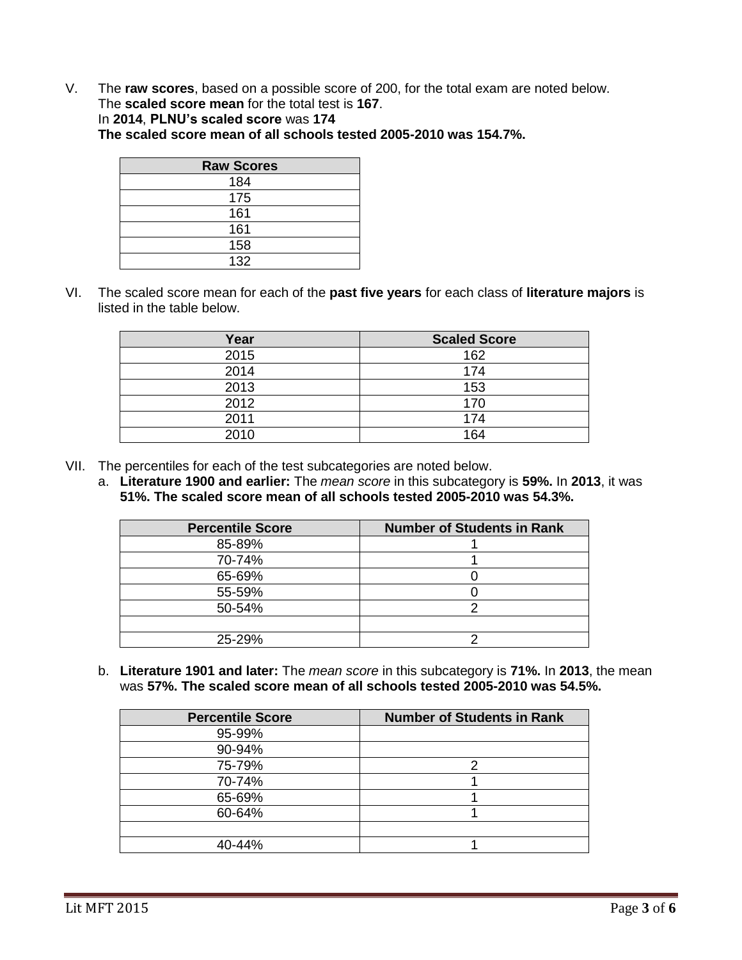V. The **raw scores**, based on a possible score of 200, for the total exam are noted below. The **scaled score mean** for the total test is **167**. In **2014**, **PLNU's scaled score** was **174 The scaled score mean of all schools tested 2005-2010 was 154.7%.**

| <b>Raw Scores</b> |  |  |  |
|-------------------|--|--|--|
| 184               |  |  |  |
| 175               |  |  |  |
| 161               |  |  |  |
| 161               |  |  |  |
| 158               |  |  |  |
| 132               |  |  |  |

VI. The scaled score mean for each of the **past five years** for each class of **literature majors** is listed in the table below.

| Year | <b>Scaled Score</b> |
|------|---------------------|
| 2015 | 162                 |
| 2014 | 174                 |
| 2013 | 153                 |
| 2012 | 170                 |
| 2011 | 174                 |
| 2010 | 164                 |

- VII. The percentiles for each of the test subcategories are noted below.
	- a. **Literature 1900 and earlier:** The *mean score* in this subcategory is **59%.** In **2013**, it was **51%. The scaled score mean of all schools tested 2005-2010 was 54.3%.**

| <b>Percentile Score</b> | <b>Number of Students in Rank</b> |
|-------------------------|-----------------------------------|
| 85-89%                  |                                   |
| 70-74%                  |                                   |
| 65-69%                  |                                   |
| 55-59%                  |                                   |
| 50-54%                  |                                   |
|                         |                                   |
| 25-29%                  |                                   |

b. **Literature 1901 and later:** The *mean score* in this subcategory is **71%.** In **2013**, the mean was **57%. The scaled score mean of all schools tested 2005-2010 was 54.5%.**

| <b>Percentile Score</b> | <b>Number of Students in Rank</b> |
|-------------------------|-----------------------------------|
| 95-99%                  |                                   |
| 90-94%                  |                                   |
| 75-79%                  | ⌒                                 |
| 70-74%                  |                                   |
| 65-69%                  |                                   |
| 60-64%                  |                                   |
|                         |                                   |
| 40-44%                  |                                   |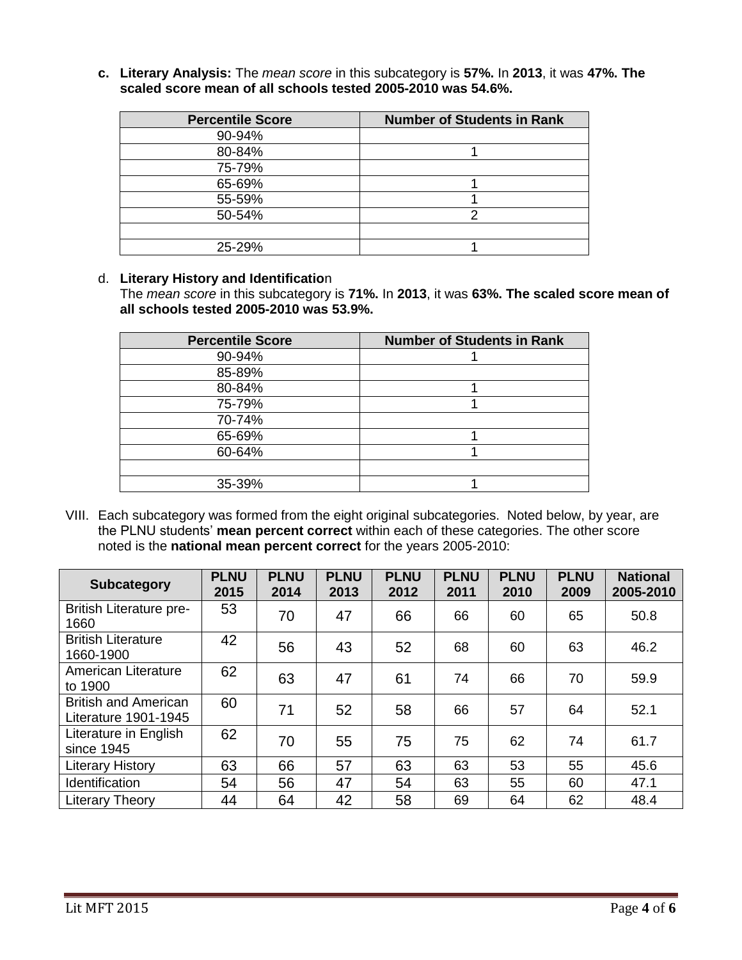**c. Literary Analysis:** The *mean score* in this subcategory is **57%.** In **2013**, it was **47%. The scaled score mean of all schools tested 2005-2010 was 54.6%.**

| <b>Percentile Score</b> | <b>Number of Students in Rank</b> |
|-------------------------|-----------------------------------|
| 90-94%                  |                                   |
| 80-84%                  |                                   |
| 75-79%                  |                                   |
| 65-69%                  |                                   |
| 55-59%                  |                                   |
| 50-54%                  |                                   |
|                         |                                   |
| 25-29%                  |                                   |

## d. **Literary History and Identificatio**n

The *mean score* in this subcategory is **71%.** In **2013**, it was **63%. The scaled score mean of all schools tested 2005-2010 was 53.9%.**

| <b>Percentile Score</b> | <b>Number of Students in Rank</b> |
|-------------------------|-----------------------------------|
| 90-94%                  |                                   |
| 85-89%                  |                                   |
| 80-84%                  |                                   |
| 75-79%                  |                                   |
| 70-74%                  |                                   |
| 65-69%                  |                                   |
| 60-64%                  |                                   |
|                         |                                   |
| 35-39%                  |                                   |

VIII. Each subcategory was formed from the eight original subcategories. Noted below, by year, are the PLNU students' **mean percent correct** within each of these categories. The other score noted is the **national mean percent correct** for the years 2005-2010:

| <b>Subcategory</b>                                  | <b>PLNU</b><br>2015 | <b>PLNU</b><br>2014 | <b>PLNU</b><br>2013 | <b>PLNU</b><br>2012 | <b>PLNU</b><br>2011 | <b>PLNU</b><br>2010 | <b>PLNU</b><br>2009 | <b>National</b><br>2005-2010 |
|-----------------------------------------------------|---------------------|---------------------|---------------------|---------------------|---------------------|---------------------|---------------------|------------------------------|
| <b>British Literature pre-</b><br>1660              | 53                  | 70                  | 47                  | 66                  | 66                  | 60                  | 65                  | 50.8                         |
| <b>British Literature</b><br>1660-1900              | 42                  | 56                  | 43                  | 52                  | 68                  | 60                  | 63                  | 46.2                         |
| American Literature<br>to 1900                      | 62                  | 63                  | 47                  | 61                  | 74                  | 66                  | 70                  | 59.9                         |
| <b>British and American</b><br>Literature 1901-1945 | 60                  | 71                  | 52                  | 58                  | 66                  | 57                  | 64                  | 52.1                         |
| Literature in English<br>since 1945                 | 62                  | 70                  | 55                  | 75                  | 75                  | 62                  | 74                  | 61.7                         |
| <b>Literary History</b>                             | 63                  | 66                  | 57                  | 63                  | 63                  | 53                  | 55                  | 45.6                         |
| Identification                                      | 54                  | 56                  | 47                  | 54                  | 63                  | 55                  | 60                  | 47.1                         |
| <b>Literary Theory</b>                              | 44                  | 64                  | 42                  | 58                  | 69                  | 64                  | 62                  | 48.4                         |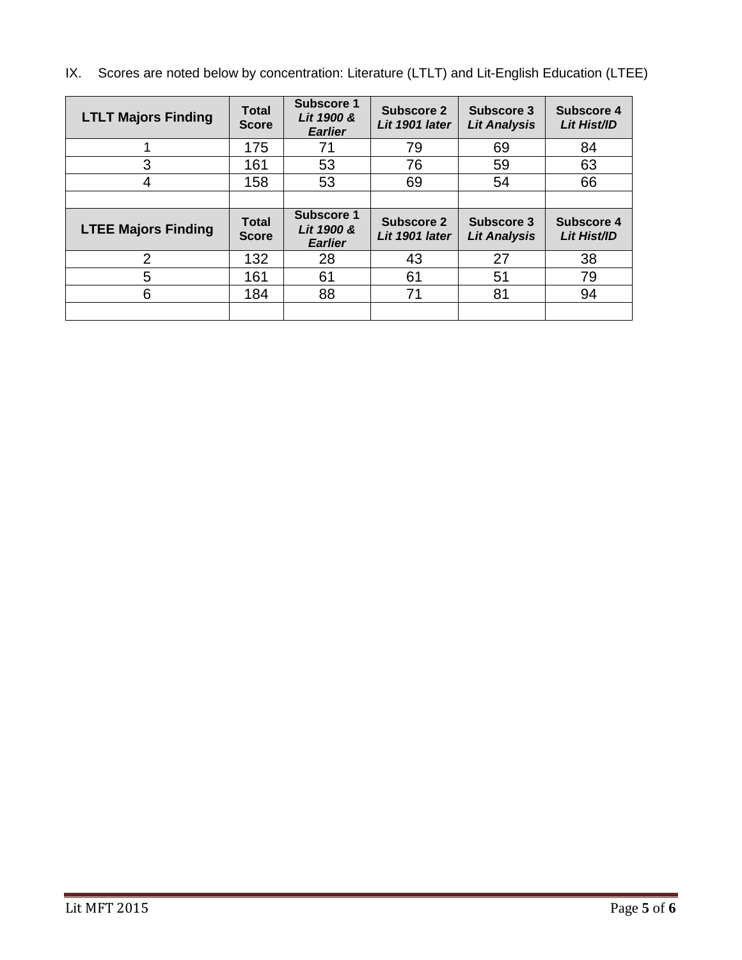IX. Scores are noted below by concentration: Literature (LTLT) and Lit-English Education (LTEE)

| <b>LTLT Majors Finding</b> | <b>Total</b><br><b>Score</b> | <b>Subscore 1</b><br>Lit 1900 &<br><b>Earlier</b> | Subscore 2<br>Lit 1901 later | Subscore 3<br><b>Lit Analysis</b> | Subscore 4<br>Lit Hist/ID |
|----------------------------|------------------------------|---------------------------------------------------|------------------------------|-----------------------------------|---------------------------|
|                            | 175                          | 71                                                | 79                           | 69                                | 84                        |
| 3                          | 161                          | 53                                                | 76                           | 59                                | 63                        |
| 4                          | 158                          | 53                                                | 69                           | 54                                | 66                        |
|                            |                              |                                                   |                              |                                   |                           |
|                            |                              |                                                   |                              |                                   |                           |
| <b>LTEE Majors Finding</b> | <b>Total</b><br><b>Score</b> | Subscore 1<br>Lit 1900 &<br><b>Earlier</b>        | Subscore 2<br>Lit 1901 later | Subscore 3<br><b>Lit Analysis</b> | Subscore 4<br>Lit Hist/ID |
| 2                          | 132                          | 28                                                | 43                           | 27                                | 38                        |
| 5                          | 161                          | 61                                                | 61                           | 51                                | 79                        |
| 6                          | 184                          | 88                                                | 71                           | 81                                | 94                        |